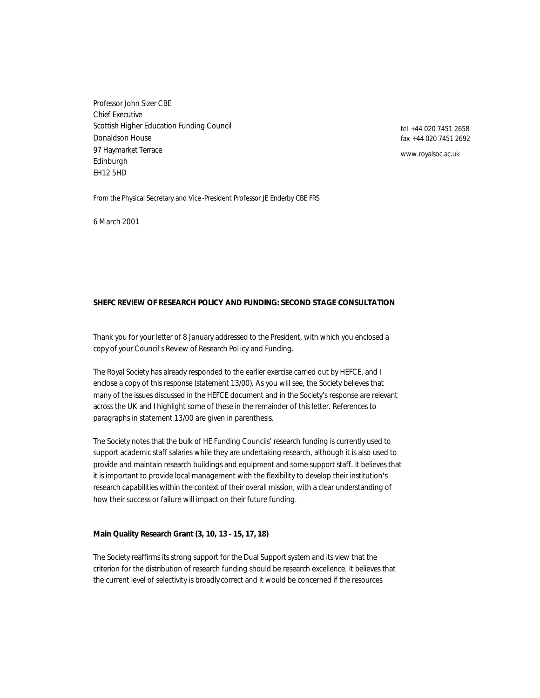Professor John Sizer CBE Chief Executive Scottish Higher Education Funding Council Donaldson House 97 Haymarket Terrace Edinburgh EH12 5HD

*tel* +44 020 7451 2658 *fax* +44 020 7451 2692

www.royalsoc.ac.uk

*From the Physical Secretary and Vice -President Professor JE Enderby CBE FRS*

6 March 2001

#### **SHEFC REVIEW OF RESEARCH POLICY AND FUNDING: SECOND STAGE CONSULTATION**

Thank you for your letter of 8 January addressed to the President, with which you enclosed a copy of your Council's Review of Research Pol icy and Funding.

The Royal Society has already responded to the earlier exercise carried out by HEFCE, and I enclose a copy of this response (statement 13/00). As you will see, the Society believes that many of the issues discussed in the HEFCE document and in the Society's response are relevant across the UK and I highlight some of these in the remainder of this letter. References to paragraphs in statement 13/00 are given in parenthesis.

The Society notes that the bulk of HE Funding Councils' research funding is currently used to support academic staff salaries while they are undertaking research, although it is also used to provide and maintain research buildings and equipment and some support staff. It believes that it is important to provide local management with the flexibility to develop their institution's research capabilities within the context of their overall mission, with a clear understanding of how their success or failure will impact on their future funding.

## **Main Quality Research Grant (3, 10, 13 - 15, 17, 18)**

The Society reaffirms its strong support for the Dual Support system and its view that the criterion for the distribution of research funding should be research excellence. It believes that the current level of selectivity is broadly correct and it would be concerned if the resources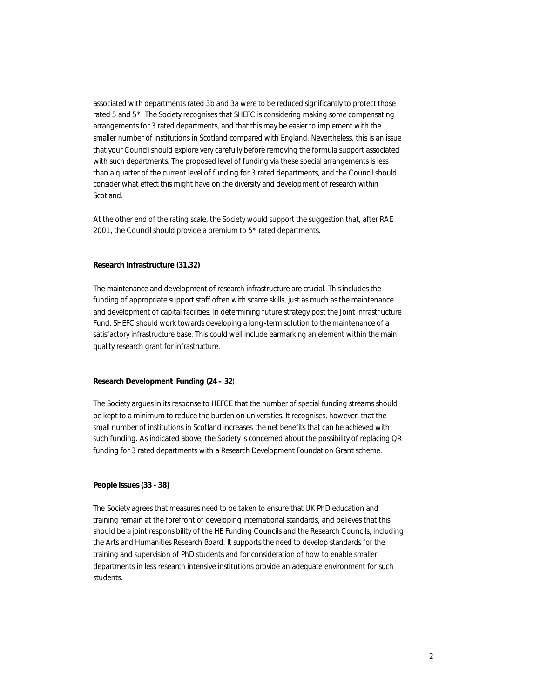associated with departments rated 3b and 3a were to be reduced significantly to protect those rated 5 and 5\*. The Society recognises that SHEFC is considering making some compensating arrangements for 3 rated departments, and that this may be easier to implement with the smaller number of institutions in Scotland compared with England. Nevertheless, this is an issue that your Council should explore very carefully before removing the formula support associated with such departments. The proposed level of funding via these special arrangements is less than a quarter of the current level of funding for 3 rated departments, and the Council should consider what effect this might have on the diversity and development of research within Scotland.

At the other end of the rating scale, the Society would support the suggestion that, after RAE 2001, the Council should provide a premium to 5\* rated departments.

### **Research Infrastructure (31,32)**

The maintenance and development of research infrastructure are crucial. This includes the funding of appropriate support staff often with scarce skills, just as much as the maintenance and development of capital facilities. In determining future strategy post the Joint Infrastr ucture Fund, SHEFC should work towards developing a long-term solution to the maintenance of a satisfactory infrastructure base. This could well include earmarking an element within the main quality research grant for infrastructure.

#### **Research Development Funding (24 – 32**)

The Society argues in its response to HEFCE that the number of special funding streams should be kept to a minimum to reduce the burden on universities. It recognises, however, that the small number of institutions in Scotland increases the net benefits that can be achieved with such funding. As indicated above, the Society is concerned about the possibility of replacing QR funding for 3 rated departments with a Research Development Foundation Grant scheme.

# **People issues (33 - 38)**

The Society agrees that measures need to be taken to ensure that UK PhD education and training remain at the forefront of developing international standards, and believes that this should be a joint responsibility of the HE Funding Councils and the Research Councils, including the Arts and Humanities Research Board. It supports the need to develop standards for the training and supervision of PhD students and for consideration of how to enable smaller departments in less research intensive institutions provide an adequate environment for such students.